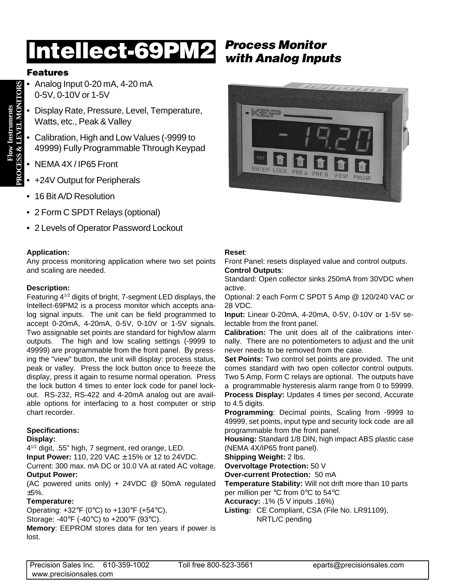# **Process Monitor Intellect-69PM2 with Analog Inputs**

## **Features**

- Analog Input 0-20 mA, 4-20 mA 0-5V, 0-10V or 1-5V
- Display Rate, Pressure, Level, Temperature, Watts, etc., Peak & Valley
- Calibration, High and Low Values (-9999 to 49999) Fully Programmable Through Keypad
- NEMA 4X / IP65 Front
- +24V Output for Peripherals
- 16 Bit A/D Resolution
- 2 Form C SPDT Relays (optional)
- 2 Levels of Operator Password Lockout

#### **Application:**

Any process monitoring application where two set points and scaling are needed.

#### **Description:**

Featuring 41/2 digits of bright, 7-segment LED displays, the Intellect-69PM2 is a process monitor which accepts analog signal inputs. The unit can be field programmed to accept 0-20mA, 4-20mA, 0-5V, 0-10V or 1-5V signals. Two assignable set points are standard for high/low alarm outputs. The high and low scaling settings (-9999 to 49999) are programmable from the front panel. By pressing the "view" button, the unit will display: process status, peak or valley. Press the lock button once to freeze the display, press it again to resume normal operation. Press the lock button 4 times to enter lock code for panel lockout. RS-232, RS-422 and 4-20mA analog out are available options for interfacing to a host computer or strip chart recorder.

### **Specifications:**

#### **Display:**

41/2 digit, .55" high, 7 segment, red orange, LED. **Input Power:** 110, 220 VAC ± 15% or 12 to 24VDC.

Current: 300 max. mA DC or 10.0 VA at rated AC voltage. **Output Power:**

(AC powered units only) + 24VDC @ 50mA regulated ±5%.

### **Temperature:**

Operating:  $+32^{\circ}F(0^{\circ}C)$  to  $+130^{\circ}F(+54^{\circ}C)$ . Storage: -40°F (-40°C) to +200°F (93°C).

**Memory**: EEPROM stores data for ten years if power is lost.



#### **Reset**:

Front Panel: resets displayed value and control outputs. **Control Outputs**:

Standard: Open collector sinks 250mA from 30VDC when active.

Optional: 2 each Form C SPDT 5 Amp @ 120/240 VAC or 28 VDC.

**Input:** Linear 0-20mA, 4-20mA, 0-5V, 0-10V or 1-5V selectable from the front panel.

**Calibration:** The unit does all of the calibrations internally. There are no potentiometers to adjust and the unit never needs to be removed from the case.

**Set Points:** Two control set points are provided. The unit comes standard with two open collector control outputs. Two 5 Amp, Form C relays are optional. The outputs have a programmable hysteresis alarm range from 0 to 59999. **Process Display:** Updates 4 times per second, Accurate to 4.5 digits.

**Programming**: Decimal points, Scaling from -9999 to 49999, set points, input type and security lock code are all programmable from the front panel.

**Housing:** Standard 1/8 DIN, high impact ABS plastic case (NEMA 4X/IP65 front panel).

**Shipping Weight:** 2 lbs.

**Overvoltage Protection:** 50 V

**Over-current Protection:** 50 mA

**Temperature Stability:** Will not drift more than 10 parts per million per °C from 0°C to 54°C

**Accuracy:** .1% (5 V inputs .16%)

**Listing:** CE Compliant, CSA (File No. LR91109), NRTL/C pending